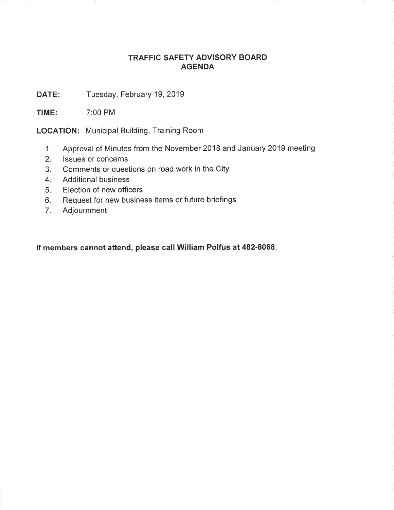## TRAFFIC SAFETY ADVISORY BOARD AGENDA

DATE: Tuesday, February 19, 2019

TIME: 7:00 PM

LOCATION: Municipal Building, Training Room

- 1. Approval of Minutes from the November 2018 and January 2019 meeting
- 2. lssues or concerns
- 3. Comments or questions on road work in the City
- 4. Additional business
- 5. Election of new officers
- 6. Request for new business items or future briefings
- 7. Adjournment

lf members cannot attend, please call William Polfus at 482-8068